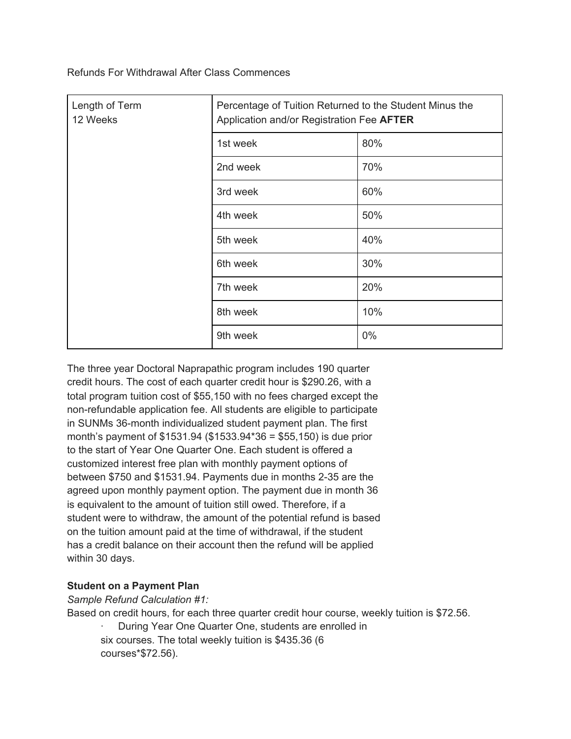Refunds For Withdrawal After Class Commences

| Length of Term<br>12 Weeks | Percentage of Tuition Returned to the Student Minus the<br>Application and/or Registration Fee AFTER |     |  |  |
|----------------------------|------------------------------------------------------------------------------------------------------|-----|--|--|
|                            | 1st week                                                                                             | 80% |  |  |
|                            | 2nd week                                                                                             | 70% |  |  |
|                            | 3rd week                                                                                             | 60% |  |  |
|                            | 4th week                                                                                             | 50% |  |  |
|                            | 5th week                                                                                             | 40% |  |  |
|                            | 6th week                                                                                             | 30% |  |  |
|                            | 7th week                                                                                             | 20% |  |  |
|                            | 8th week                                                                                             | 10% |  |  |
|                            | 9th week                                                                                             | 0%  |  |  |

The three year Doctoral Naprapathic program includes 190 quarter credit hours. The cost of each quarter credit hour is \$290.26, with a total program tuition cost of \$55,150 with no fees charged except the non-refundable application fee. All students are eligible to participate in SUNMs 36-month individualized student payment plan. The first month's payment of \$1531.94 (\$1533.94\*36 = \$55,150) is due prior to the start of Year One Quarter One. Each student is offered a customized interest free plan with monthly payment options of between \$750 and \$1531.94. Payments due in months 2-35 are the agreed upon monthly payment option. The payment due in month 36 is equivalent to the amount of tuition still owed. Therefore, if a student were to withdraw, the amount of the potential refund is based on the tuition amount paid at the time of withdrawal, if the student has a credit balance on their account then the refund will be applied within 30 days.

## **Student on a Payment Plan**

*Sample Refund Calculation #1:*

Based on credit hours, for each three quarter credit hour course, weekly tuition is \$72.56.

During Year One Quarter One, students are enrolled in six courses. The total weekly tuition is \$435.36 (6 courses\*\$72.56).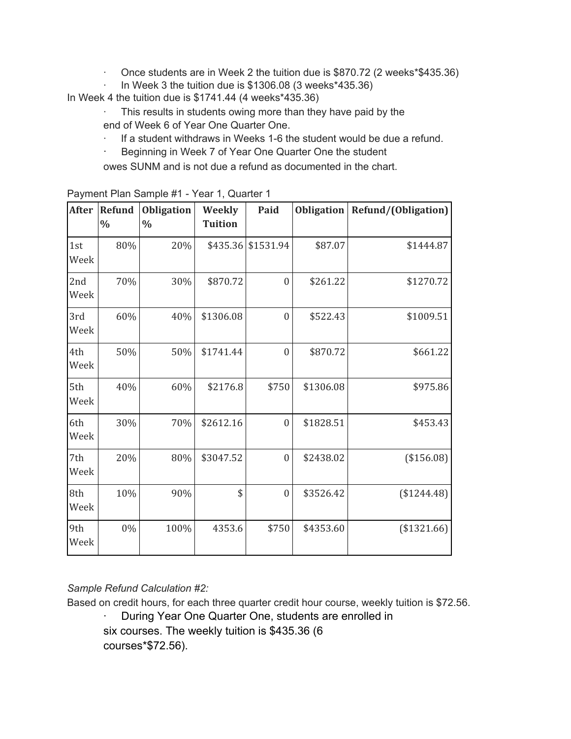- · Once students are in Week 2 the tuition due is \$870.72 (2 weeks\*\$435.36)
- In Week 3 the tuition due is  $$1306.08$  (3 weeks\*435.36)

In Week 4 the tuition due is \$1741.44 (4 weeks\*435.36)

- · This results in students owing more than they have paid by the end of Week 6 of Year One Quarter One.
- If a student withdraws in Weeks 1-6 the student would be due a refund.
- · Beginning in Week 7 of Year One Quarter One the student

owes SUNM and is not due a refund as documented in the chart.

| <b>After</b> | <b>Refund</b> | <b>Obligation</b> | Weekly         | Paid               | <b>Obligation</b> | Refund/(Obligation) |
|--------------|---------------|-------------------|----------------|--------------------|-------------------|---------------------|
|              | $\frac{0}{0}$ | $\frac{0}{0}$     | <b>Tuition</b> |                    |                   |                     |
| 1st<br>Week  | 80%           | 20%               |                | \$435.36 \$1531.94 | \$87.07           | \$1444.87           |
| 2nd<br>Week  | 70%           | 30%               | \$870.72       | $\boldsymbol{0}$   | \$261.22          | \$1270.72           |
| 3rd<br>Week  | 60%           | 40%               | \$1306.08      | $\mathbf{0}$       | \$522.43          | \$1009.51           |
| 4th<br>Week  | 50%           | 50%               | \$1741.44      | $\boldsymbol{0}$   | \$870.72          | \$661.22            |
| 5th<br>Week  | 40%           | 60%               | \$2176.8       | \$750              | \$1306.08         | \$975.86            |
| 6th<br>Week  | 30%           | 70%               | \$2612.16      | $\overline{0}$     | \$1828.51         | \$453.43            |
| 7th<br>Week  | 20%           | 80%               | \$3047.52      | $\overline{0}$     | \$2438.02         | (\$156.08)          |
| 8th<br>Week  | 10%           | 90%               | \$             | $\boldsymbol{0}$   | \$3526.42         | (\$1244.48)         |
| 9th<br>Week  | 0%            | 100%              | 4353.6         | \$750              | \$4353.60         | (\$1321.66)         |

Payment Plan Sample #1 - Year 1, Quarter 1

## *Sample Refund Calculation #2:*

Based on credit hours, for each three quarter credit hour course, weekly tuition is \$72.56.

During Year One Quarter One, students are enrolled in six courses. The weekly tuition is \$435.36 (6 courses\*\$72.56).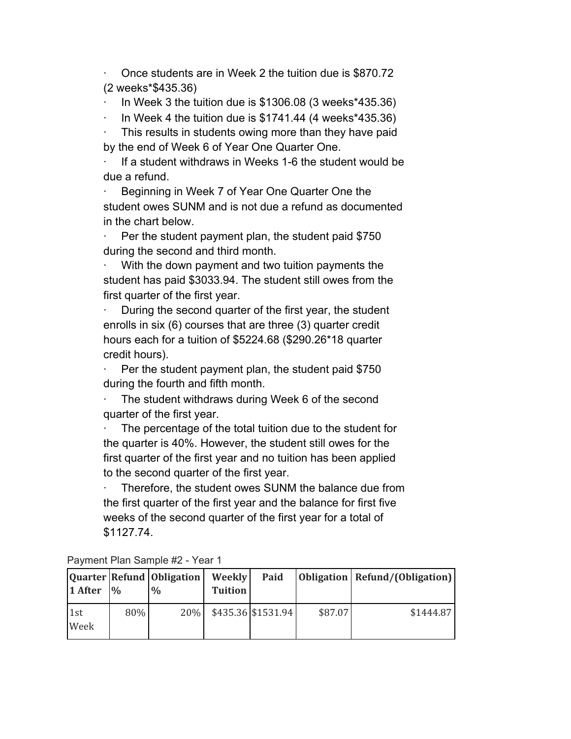· Once students are in Week 2 the tuition due is \$870.72 (2 weeks\*\$435.36)

· In Week 3 the tuition due is \$1306.08 (3 weeks\*435.36)

In Week 4 the tuition due is  $$1741.44$  (4 weeks\*435.36)

This results in students owing more than they have paid by the end of Week 6 of Year One Quarter One.

If a student withdraws in Weeks 1-6 the student would be due a refund.

Beginning in Week 7 of Year One Quarter One the student owes SUNM and is not due a refund as documented in the chart below.

Per the student payment plan, the student paid \$750 during the second and third month.

With the down payment and two tuition payments the student has paid \$3033.94. The student still owes from the first quarter of the first year.

During the second quarter of the first year, the student enrolls in six (6) courses that are three (3) quarter credit hours each for a tuition of \$5224.68 (\$290.26\*18 quarter credit hours).

Per the student payment plan, the student paid \$750 during the fourth and fifth month.

The student withdraws during Week 6 of the second quarter of the first year.

The percentage of the total tuition due to the student for the quarter is 40%. However, the student still owes for the first quarter of the first year and no tuition has been applied to the second quarter of the first year.

Therefore, the student owes SUNM the balance due from the first quarter of the first year and the balance for first five weeks of the second quarter of the first year for a total of \$1127.74.

Payment Plan Sample #2 - Year 1

| 1 After     | $\frac{0}{0}$ | Quarter Refund Obligation<br>$\frac{0}{0}$ | Weekly<br><b>Tuition</b> | Paid                 |         | <b>Obligation</b> Refund/(Obligation) |
|-------------|---------------|--------------------------------------------|--------------------------|----------------------|---------|---------------------------------------|
| 1st<br>Week | 80%           | 20%                                        |                          | $$435.36$ $$1531.94$ | \$87.07 | \$1444.87                             |